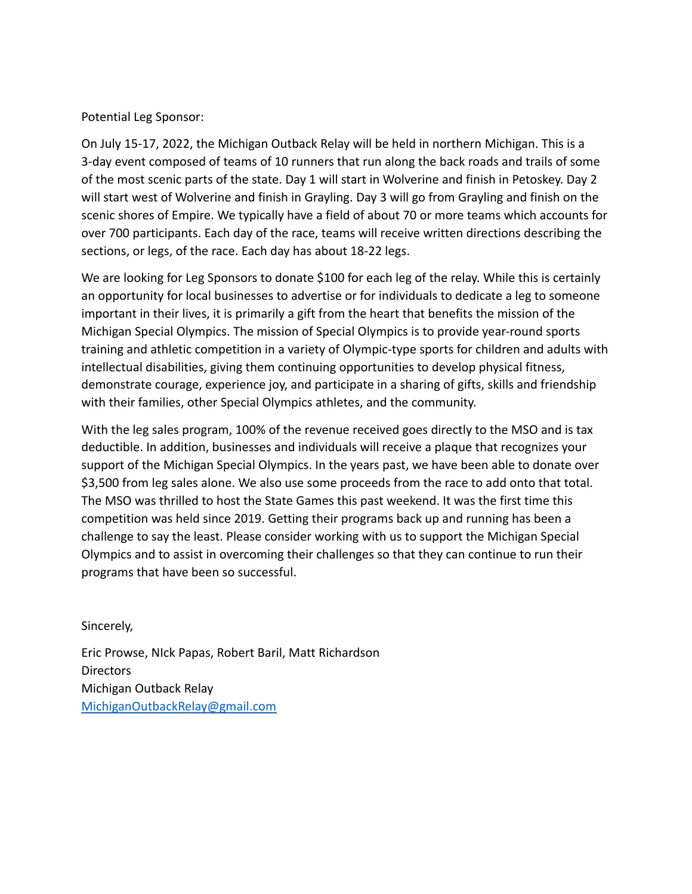Potential Leg Sponsor:

On July 15-17, 2022, the Michigan Outback Relay will be held in northern Michigan. This is a 3-day event composed of teams of 10 runners that run along the back roads and trails of some of the most scenic parts of the state. Day 1 will start in Wolverine and finish in Petoskey. Day 2 will start west of Wolverine and finish in Grayling. Day 3 will go from Grayling and finish on the scenic shores of Empire. We typically have a field of about 70 or more teams which accounts for over 700 participants. Each day of the race, teams will receive written directions describing the sections, or legs, of the race. Each day has about 18-22 legs.

We are looking for Leg Sponsors to donate \$100 for each leg of the relay. While this is certainly an opportunity for local businesses to advertise or for individuals to dedicate a leg to someone important in their lives, it is primarily a gift from the heart that benefits the mission of the Michigan Special Olympics. The mission of Special Olympics is to provide year-round sports training and athletic competition in a variety of Olympic-type sports for children and adults with intellectual disabilities, giving them continuing opportunities to develop physical fitness, demonstrate courage, experience joy, and participate in a sharing of gifts, skills and friendship with their families, other Special Olympics athletes, and the community.

With the leg sales program, 100% of the revenue received goes directly to the MSO and is tax deductible. In addition, businesses and individuals will receive a plaque that recognizes your support of the Michigan Special Olympics. In the years past, we have been able to donate over \$3,500 from leg sales alone. We also use some proceeds from the race to add onto that total. The MSO was thrilled to host the State Games this past weekend. It was the first time this competition was held since 2019. Getting their programs back up and running has been a challenge to say the least. Please consider working with us to support the Michigan Special Olympics and to assist in overcoming their challenges so that they can continue to run their programs that have been so successful.

Sincerely,

Eric Prowse, NIck Papas, Robert Baril, Matt Richardson **Directors** Michigan Outback Relay [MichiganOutbackRelay@gmail.com](mailto:MichiganOutbackRelay@gmail.com)